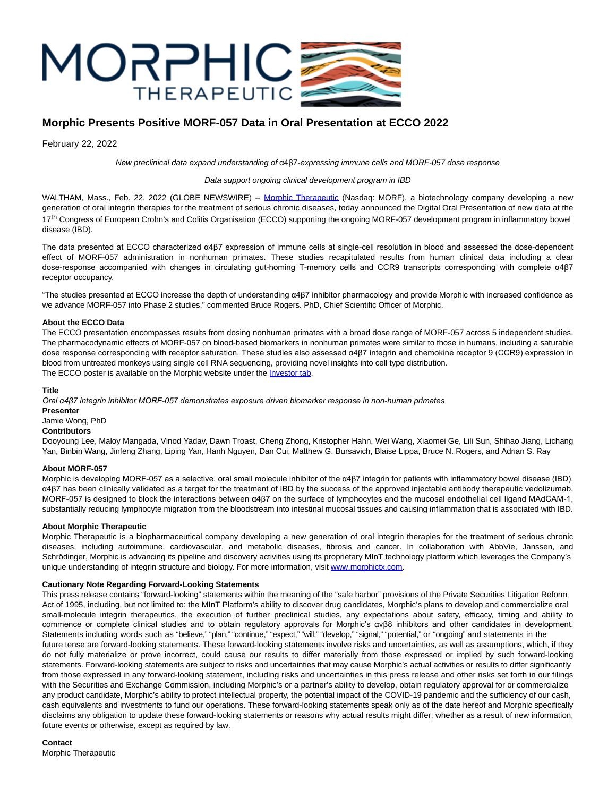

# **Morphic Presents Positive MORF-057 Data in Oral Presentation at ECCO 2022**

February 22, 2022

New preclinical data expand understanding of α4β7-expressing immune cells and MORF-057 dose response

### Data support ongoing clinical development program in IBD

WALTHAM, Mass., Feb. 22, 2022 (GLOBE NEWSWIRE) -- [Morphic Therapeutic](https://www.globenewswire.com/Tracker?data=a1GMnZgKImODBIi-4h5pZzAC57b3DEWmf6LqNlqIc8lbRTOZuJDbVgumCCFttZkWKIE7b0C81SSru47Mi5OwBw==) (Nasdaq: MORF), a biotechnology company developing a new generation of oral integrin therapies for the treatment of serious chronic diseases, today announced the Digital Oral Presentation of new data at the 17<sup>th</sup> Congress of European Crohn's and Colitis Organisation (ECCO) supporting the ongoing MORF-057 development program in inflammatory bowel disease (IBD).

The data presented at ECCO characterized α4β7 expression of immune cells at single-cell resolution in blood and assessed the dose-dependent effect of MORF-057 administration in nonhuman primates. These studies recapitulated results from human clinical data including a clear dose-response accompanied with changes in circulating gut-homing T-memory cells and CCR9 transcripts corresponding with complete α4β7 receptor occupancy.

"The studies presented at ECCO increase the depth of understanding α4β7 inhibitor pharmacology and provide Morphic with increased confidence as we advance MORF-057 into Phase 2 studies," commented Bruce Rogers. PhD, Chief Scientific Officer of Morphic.

### **About the ECCO Data**

The ECCO presentation encompasses results from dosing nonhuman primates with a broad dose range of MORF-057 across 5 independent studies. The pharmacodynamic effects of MORF-057 on blood-based biomarkers in nonhuman primates were similar to those in humans, including a saturable dose response corresponding with receptor saturation. These studies also assessed α4β7 integrin and chemokine receptor 9 (CCR9) expression in blood from untreated monkeys using single cell RNA sequencing, providing novel insights into cell type distribution. The ECCO poster is available on the Morphic website under the *Investor tab*.

### **Title**

*Oral α4β7 integrin inhibitor MORF-057 demonstrates exposure driven biomarker response in non-human primates*

**Presenter**

Jamie Wong, PhD

## **Contributors**

Dooyoung Lee, Maloy Mangada, Vinod Yadav, Dawn Troast, Cheng Zhong, Kristopher Hahn, Wei Wang, Xiaomei Ge, Lili Sun, Shihao Jiang, Lichang Yan, Binbin Wang, Jinfeng Zhang, Liping Yan, Hanh Nguyen, Dan Cui, Matthew G. Bursavich, Blaise Lippa, Bruce N. Rogers, and Adrian S. Ray

### **About MORF-057**

Morphic is developing MORF-057 as a selective, oral small molecule inhibitor of the α4β7 integrin for patients with inflammatory bowel disease (IBD). α4β7 has been clinically validated as a target for the treatment of IBD by the success of the approved injectable antibody therapeutic vedolizumab. MORF-057 is designed to block the interactions between α4β7 on the surface of lymphocytes and the mucosal endothelial cell ligand MAdCAM-1, substantially reducing lymphocyte migration from the bloodstream into intestinal mucosal tissues and causing inflammation that is associated with IBD.

#### **About Morphic Therapeutic**

Morphic Therapeutic is a biopharmaceutical company developing a new generation of oral integrin therapies for the treatment of serious chronic diseases, including autoimmune, cardiovascular, and metabolic diseases, fibrosis and cancer. In collaboration with AbbVie, Janssen, and Schrödinger, Morphic is advancing its pipeline and discovery activities using its proprietary MInT technology platform which leverages the Company's unique understanding of integrin structure and biology. For more information, visit [www.morphictx.com.](https://www.globenewswire.com/Tracker?data=K6X2QW6CEVKJcBo8nqbXRLWPAMRmnmiWqOk0NJkmbs04qEgboJ2Z2jMdukf1W0pPx2lXfr7GQ_POjBeRkoSitA==)

### **Cautionary Note Regarding Forward-Looking Statements**

This press release contains "forward-looking" statements within the meaning of the "safe harbor" provisions of the Private Securities Litigation Reform Act of 1995, including, but not limited to: the MInT Platform's ability to discover drug candidates, Morphic's plans to develop and commercialize oral small-molecule integrin therapeutics, the execution of further preclinical studies, any expectations about safety, efficacy, timing and ability to commence or complete clinical studies and to obtain regulatory approvals for Morphic's αvβ8 inhibitors and other candidates in development. Statements including words such as "believe," "plan," "continue," "expect," "will," "develop," "signal," "potential," or "ongoing" and statements in the future tense are forward-looking statements. These forward-looking statements involve risks and uncertainties, as well as assumptions, which, if they do not fully materialize or prove incorrect, could cause our results to differ materially from those expressed or implied by such forward-looking statements. Forward-looking statements are subject to risks and uncertainties that may cause Morphic's actual activities or results to differ significantly from those expressed in any forward-looking statement, including risks and uncertainties in this press release and other risks set forth in our filings with the Securities and Exchange Commission, including Morphic's or a partner's ability to develop, obtain regulatory approval for or commercialize any product candidate, Morphic's ability to protect intellectual property, the potential impact of the COVID-19 pandemic and the sufficiency of our cash, cash equivalents and investments to fund our operations. These forward-looking statements speak only as of the date hereof and Morphic specifically disclaims any obligation to update these forward-looking statements or reasons why actual results might differ, whether as a result of new information, future events or otherwise, except as required by law.

**Contact**

Morphic Therapeutic